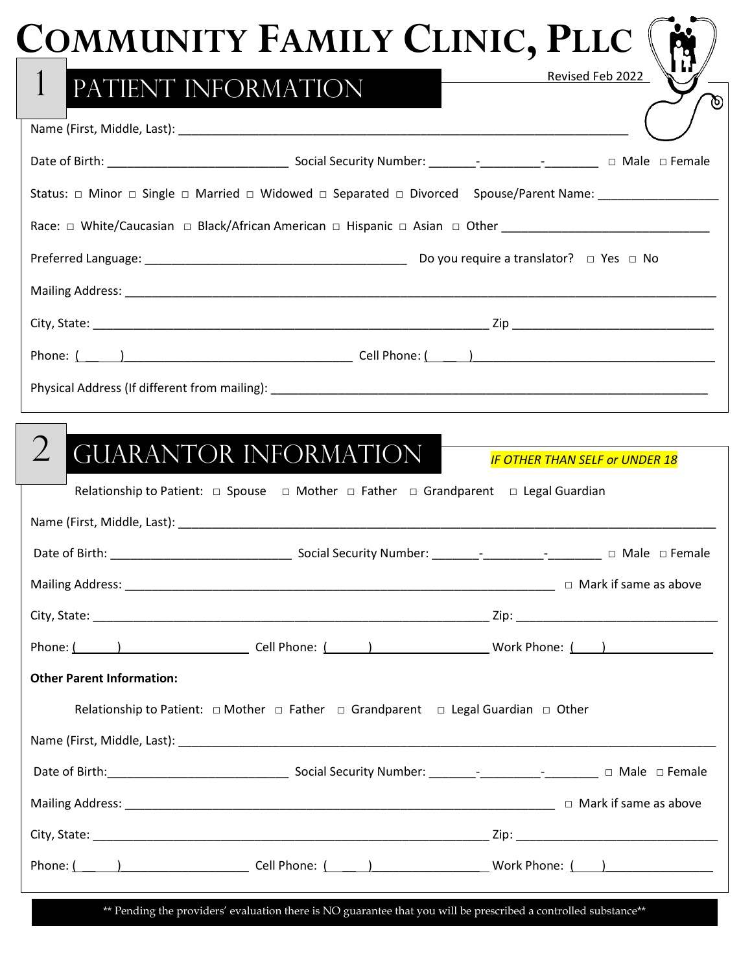|                                  | <b>COMMUNITY FAMILY CLINIC, PLLC</b>                                                                        |                                       |
|----------------------------------|-------------------------------------------------------------------------------------------------------------|---------------------------------------|
| $\mathbf{1}$                     | PATIENT INFORMATION                                                                                         | Revised Feb 2022                      |
|                                  |                                                                                                             |                                       |
|                                  |                                                                                                             |                                       |
|                                  |                                                                                                             |                                       |
|                                  |                                                                                                             |                                       |
|                                  |                                                                                                             |                                       |
|                                  |                                                                                                             |                                       |
|                                  |                                                                                                             |                                       |
|                                  |                                                                                                             |                                       |
|                                  |                                                                                                             |                                       |
|                                  | <b>GUARANTOR INFORMATION</b>                                                                                | <b>IF OTHER THAN SELF or UNDER 18</b> |
|                                  | Relationship to Patient: $\Box$ Spouse $\Box$ Mother $\Box$ Father $\Box$ Grandparent $\Box$ Legal Guardian |                                       |
|                                  |                                                                                                             |                                       |
|                                  |                                                                                                             |                                       |
|                                  |                                                                                                             |                                       |
|                                  | Phone: ( ) Cell Phone: ( ) Work Phone: ( )                                                                  |                                       |
| <b>Other Parent Information:</b> |                                                                                                             |                                       |
|                                  | Relationship to Patient: $\Box$ Mother $\Box$ Father $\Box$ Grandparent $\Box$ Legal Guardian $\Box$ Other  |                                       |
|                                  |                                                                                                             |                                       |
|                                  |                                                                                                             |                                       |
|                                  |                                                                                                             |                                       |
|                                  |                                                                                                             |                                       |

\*\* Pending the providers' evaluation there is NO guarantee that you will be prescribed a controlled substance\*\*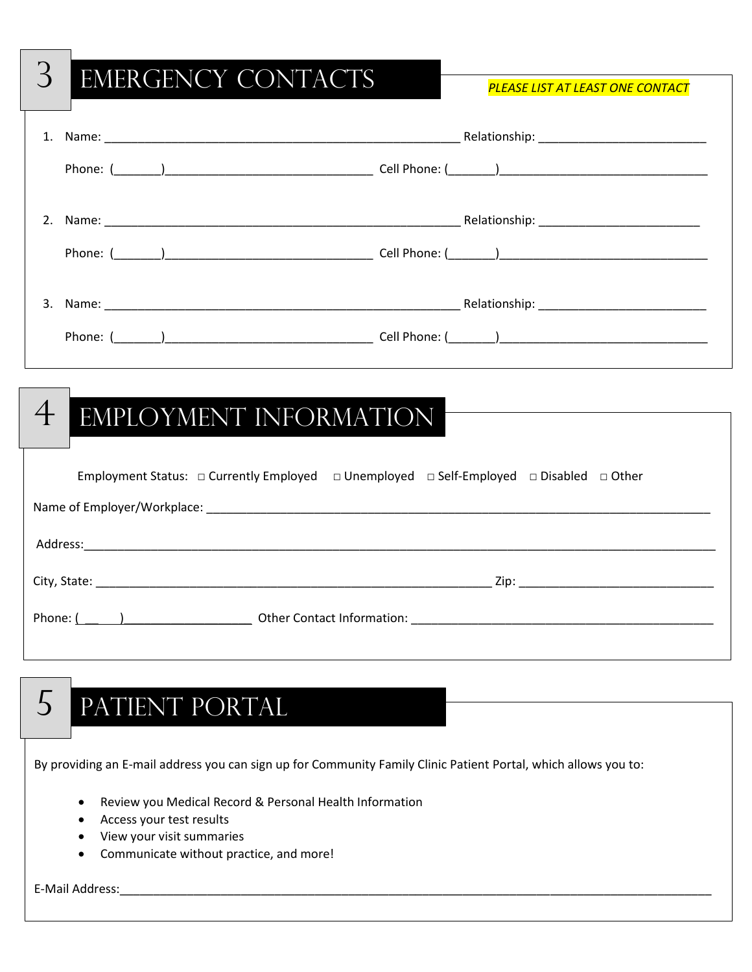# 3 Emergency Contacts *PLEASE LIST AT LEAST ONE CONTACT*  1. Name: etc. and the set of the set of the set of the set of the set of the set of the set of the set of the set of the set of the set of the set of the set of the set of the set of the set of the set of the set of the se Phone: (\_\_\_\_\_\_\_)\_\_\_\_\_\_\_\_\_\_\_\_\_\_\_\_\_\_\_\_\_\_\_\_\_\_\_\_\_\_\_ Cell Phone: (\_\_\_\_\_\_\_)\_\_\_\_\_\_\_\_\_\_\_\_\_\_\_\_\_\_\_\_\_\_\_\_\_\_\_\_\_\_\_ 2. Name: \_\_\_\_\_\_\_\_\_\_\_\_\_\_\_\_\_\_\_\_\_\_\_\_\_\_\_\_\_\_\_\_\_\_\_\_\_\_\_\_\_\_\_\_\_\_\_\_\_\_\_\_\_ Relationship: \_\_\_\_\_\_\_\_\_\_\_\_\_\_\_\_\_\_\_\_\_\_\_\_ Phone: (\_\_\_\_\_\_\_)\_\_\_\_\_\_\_\_\_\_\_\_\_\_\_\_\_\_\_\_\_\_\_\_\_\_\_\_\_\_\_ Cell Phone: (\_\_\_\_\_\_\_)\_\_\_\_\_\_\_\_\_\_\_\_\_\_\_\_\_\_\_\_\_\_\_\_\_\_\_\_\_\_\_ 3. Name: 2008. The set of the set of the set of the set of the set of the set of the set of the set of the set of the set of the set of the set of the set of the set of the set of the set of the set of the set of the set o Phone: (\_\_\_\_\_\_\_)\_\_\_\_\_\_\_\_\_\_\_\_\_\_\_\_\_\_\_\_\_\_\_\_\_\_\_\_\_\_\_ Cell Phone: (\_\_\_\_\_\_\_)\_\_\_\_\_\_\_\_\_\_\_\_\_\_\_\_\_\_\_\_\_\_\_\_\_\_\_\_\_\_\_ Employment Status: □ Currently Employed □ Unemployed □ Self-Employed □ Disabled □ Other Name of Employer/Workplace: \_\_\_\_\_\_\_\_\_\_\_\_\_\_\_\_\_\_\_\_\_\_\_\_\_\_\_\_\_\_\_\_\_\_\_\_\_\_\_\_\_\_\_\_\_\_\_\_\_\_\_\_\_\_\_\_\_\_\_\_\_\_\_\_\_\_\_\_\_\_\_\_\_\_\_ Address:\_\_\_\_\_\_\_\_\_\_\_\_\_\_\_\_\_\_\_\_\_\_\_\_\_\_\_\_\_\_\_\_\_\_\_\_\_\_\_\_\_\_\_\_\_\_\_\_\_\_\_\_\_\_\_\_\_\_\_\_\_\_\_\_\_\_\_\_\_\_\_\_\_\_\_\_\_\_\_\_\_\_\_\_\_\_\_\_\_\_\_\_\_\_ City, State: <u>Zip:</u> 2000 and the state of the state of the state of the state of the state of the state of the state of the state of the state of the state of the state of the state of the state of the state of the state o Phone: ( \_\_ )\_\_\_\_\_\_\_\_\_\_\_\_\_\_\_\_\_\_\_ Other Contact Information: \_\_\_\_\_\_\_\_\_\_\_\_\_\_\_\_\_\_\_\_\_\_\_\_\_\_\_\_\_\_\_\_\_\_\_\_\_\_\_\_\_\_\_\_\_ 4 EMPLOYMENT INFORMATION

# 5 Patient Portal

By providing an E-mail address you can sign up for Community Family Clinic Patient Portal, which allows you to:

- Review you Medical Record & Personal Health Information
- Access your test results
- View your visit summaries
- Communicate without practice, and more!

E-Mail Address:\_\_\_\_\_\_\_\_\_\_\_\_\_\_\_\_\_\_\_\_\_\_\_\_\_\_\_\_\_\_\_\_\_\_\_\_\_\_\_\_\_\_\_\_\_\_\_\_\_\_\_\_\_\_\_\_\_\_\_\_\_\_\_\_\_\_\_\_\_\_\_\_\_\_\_\_\_\_\_\_\_\_\_\_\_\_\_\_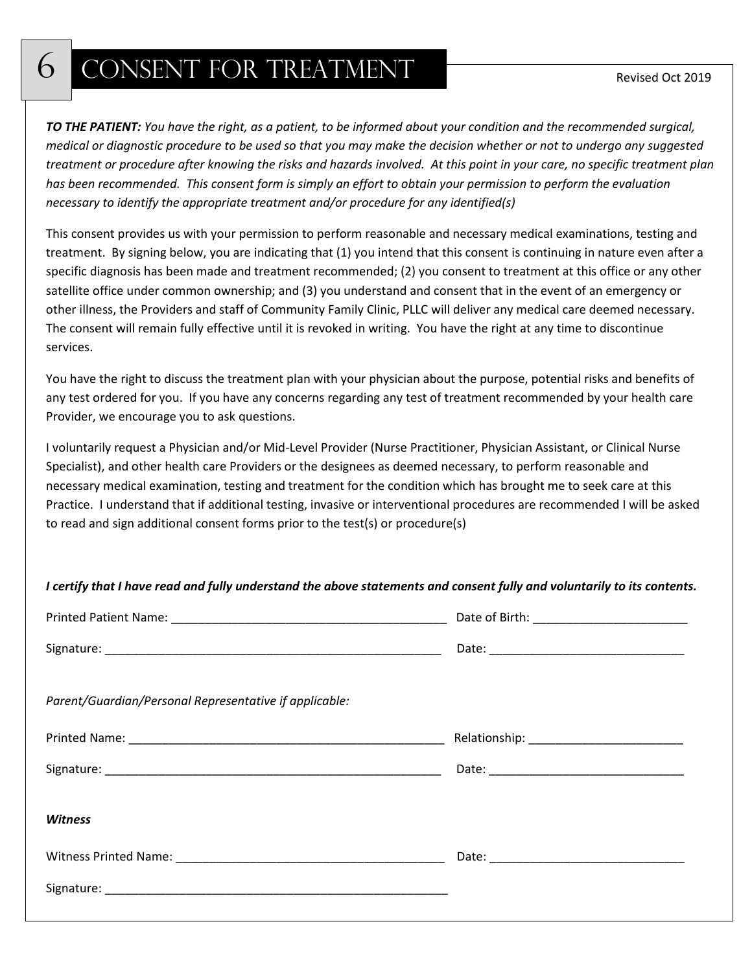### 6 CONSENT FOR TREATMENT

*TO THE PATIENT: You have the right, as a patient, to be informed about your condition and the recommended surgical, medical or diagnostic procedure to be used so that you may make the decision whether or not to undergo any suggested treatment or procedure after knowing the risks and hazards involved. At this point in your care, no specific treatment plan has been recommended. This consent form is simply an effort to obtain your permission to perform the evaluation necessary to identify the appropriate treatment and/or procedure for any identified(s)*

This consent provides us with your permission to perform reasonable and necessary medical examinations, testing and treatment. By signing below, you are indicating that (1) you intend that this consent is continuing in nature even after a specific diagnosis has been made and treatment recommended; (2) you consent to treatment at this office or any other satellite office under common ownership; and (3) you understand and consent that in the event of an emergency or other illness, the Providers and staff of Community Family Clinic, PLLC will deliver any medical care deemed necessary. The consent will remain fully effective until it is revoked in writing. You have the right at any time to discontinue services.

You have the right to discuss the treatment plan with your physician about the purpose, potential risks and benefits of any test ordered for you. If you have any concerns regarding any test of treatment recommended by your health care Provider, we encourage you to ask questions.

I voluntarily request a Physician and/or Mid-Level Provider (Nurse Practitioner, Physician Assistant, or Clinical Nurse Specialist), and other health care Providers or the designees as deemed necessary, to perform reasonable and necessary medical examination, testing and treatment for the condition which has brought me to seek care at this Practice. I understand that if additional testing, invasive or interventional procedures are recommended I will be asked to read and sign additional consent forms prior to the test(s) or procedure(s)

| I certify that I have read and fully understand the above statements and consent fully and voluntarily to its contents. |                                                                                                                                                                                                                               |
|-------------------------------------------------------------------------------------------------------------------------|-------------------------------------------------------------------------------------------------------------------------------------------------------------------------------------------------------------------------------|
|                                                                                                                         |                                                                                                                                                                                                                               |
|                                                                                                                         |                                                                                                                                                                                                                               |
| Parent/Guardian/Personal Representative if applicable:                                                                  |                                                                                                                                                                                                                               |
|                                                                                                                         |                                                                                                                                                                                                                               |
|                                                                                                                         |                                                                                                                                                                                                                               |
| <b>Witness</b>                                                                                                          |                                                                                                                                                                                                                               |
|                                                                                                                         | Date: Date: Date: Date: Date: Date: Date: Date: Date: Date: Date: Date: Date: Date: Date: Date: Date: Date: Date: Date: Date: Date: Date: Date: Date: Date: Date: Date: Date: Date: Date: Date: Date: Date: Date: Date: Date: |
|                                                                                                                         |                                                                                                                                                                                                                               |
|                                                                                                                         |                                                                                                                                                                                                                               |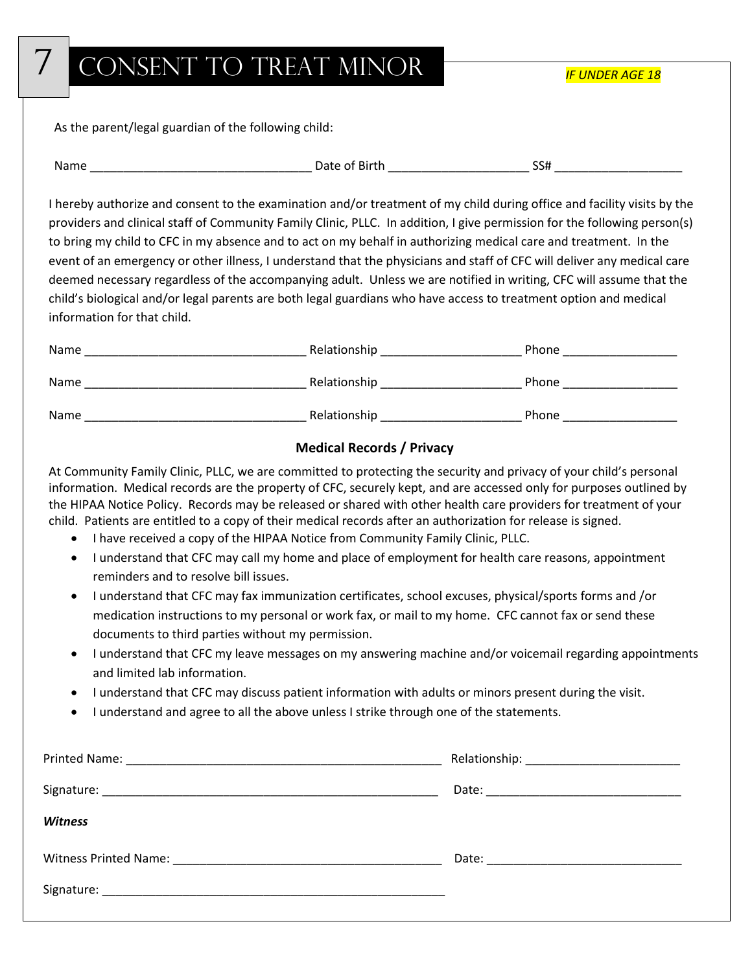### CONSENT TO TREAT MINOR

As the parent/legal guardian of the following child:

| Name | .<br>ΩT<br>'BILLI.<br>Jdie | --<br>ہرد |  |
|------|----------------------------|-----------|--|
|      |                            |           |  |

I hereby authorize and consent to the examination and/or treatment of my child during office and facility visits by the providers and clinical staff of Community Family Clinic, PLLC. In addition, I give permission for the following person(s) to bring my child to CFC in my absence and to act on my behalf in authorizing medical care and treatment. In the event of an emergency or other illness, I understand that the physicians and staff of CFC will deliver any medical care deemed necessary regardless of the accompanying adult. Unless we are notified in writing, CFC will assume that the child's biological and/or legal parents are both legal guardians who have access to treatment option and medical information for that child.

| Name | Relationship | Phone |
|------|--------------|-------|
| Name | Relationship | Phone |
| Name | Relationship | Phone |

### **Medical Records / Privacy**

At Community Family Clinic, PLLC, we are committed to protecting the security and privacy of your child's personal information. Medical records are the property of CFC, securely kept, and are accessed only for purposes outlined by the HIPAA Notice Policy. Records may be released or shared with other health care providers for treatment of your child. Patients are entitled to a copy of their medical records after an authorization for release is signed.

- I have received a copy of the HIPAA Notice from Community Family Clinic, PLLC.
- I understand that CFC may call my home and place of employment for health care reasons, appointment reminders and to resolve bill issues.
- I understand that CFC may fax immunization certificates, school excuses, physical/sports forms and /or medication instructions to my personal or work fax, or mail to my home. CFC cannot fax or send these documents to third parties without my permission.
- I understand that CFC my leave messages on my answering machine and/or voicemail regarding appointments and limited lab information.
- I understand that CFC may discuss patient information with adults or minors present during the visit.
- I understand and agree to all the above unless I strike through one of the statements.

| <b>Witness</b> |  |
|----------------|--|
|                |  |
|                |  |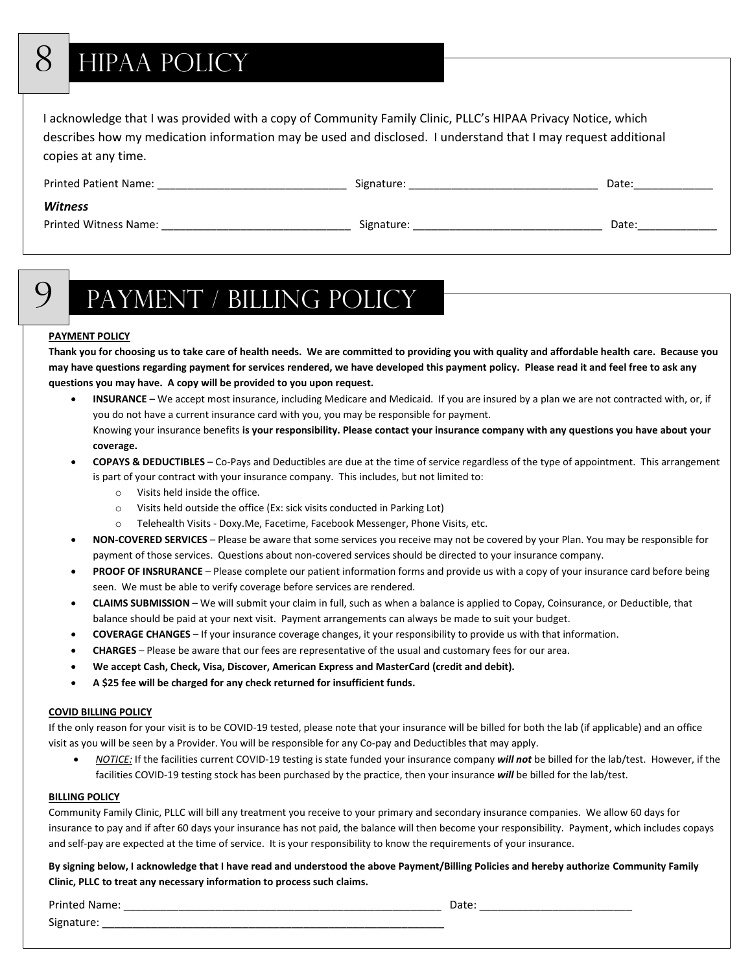# 8 HIPAA POLICY

I acknowledge that I was provided with a copy of Community Family Clinic, PLLC's HIPAA Privacy Notice, which describes how my medication information may be used and disclosed. I understand that I may request additional copies at any time.

| <b>Printed Patient Name:</b> | Signature: | Date: |
|------------------------------|------------|-------|
| <b>Witness</b>               |            |       |
| <b>Printed Witness Name:</b> | Signature: | Date: |

# 9 Payment / Billing Policy

#### **PAYMENT POLICY**

**Thank you for choosing us to take care of health needs. We are committed to providing you with quality and affordable health care. Because you may have questions regarding payment for services rendered, we have developed this payment policy. Please read it and feel free to ask any questions you may have. A copy will be provided to you upon request.**

• **INSURANCE** – We accept most insurance, including Medicare and Medicaid. If you are insured by a plan we are not contracted with, or, if you do not have a current insurance card with you, you may be responsible for payment. Knowing your insurance benefits **is your responsibility. Please contact your insurance company with any questions you have about your coverage.**

#### • **COPAYS & DEDUCTIBLES** – Co-Pays and Deductibles are due at the time of service regardless of the type of appointment. This arrangement is part of your contract with your insurance company. This includes, but not limited to:

- o Visits held inside the office.
- o Visits held outside the office (Ex: sick visits conducted in Parking Lot)
- o Telehealth Visits Doxy.Me, Facetime, Facebook Messenger, Phone Visits, etc.
- **NON-COVERED SERVICES**  Please be aware that some services you receive may not be covered by your Plan. You may be responsible for payment of those services. Questions about non-covered services should be directed to your insurance company.
- **PROOF OF INSRURANCE**  Please complete our patient information forms and provide us with a copy of your insurance card before being seen. We must be able to verify coverage before services are rendered.
- **CLAIMS SUBMISSION**  We will submit your claim in full, such as when a balance is applied to Copay, Coinsurance, or Deductible, that balance should be paid at your next visit. Payment arrangements can always be made to suit your budget.
- **COVERAGE CHANGES**  If your insurance coverage changes, it your responsibility to provide us with that information.
- **CHARGES**  Please be aware that our fees are representative of the usual and customary fees for our area.
- **We accept Cash, Check, Visa, Discover, American Express and MasterCard (credit and debit).**
- **A \$25 fee will be charged for any check returned for insufficient funds.**

#### **COVID BILLING POLICY**

If the only reason for your visit is to be COVID-19 tested, please note that your insurance will be billed for both the lab (if applicable) and an office visit as you will be seen by a Provider. You will be responsible for any Co-pay and Deductibles that may apply.

• *NOTICE:* If the facilities current COVID-19 testing is state funded your insurance company *will not* be billed for the lab/test. However, if the facilities COVID-19 testing stock has been purchased by the practice, then your insurance *will* be billed for the lab/test.

#### **BILLING POLICY**

Community Family Clinic, PLLC will bill any treatment you receive to your primary and secondary insurance companies. We allow 60 days for insurance to pay and if after 60 days your insurance has not paid, the balance will then become your responsibility. Payment, which includes copays and self-pay are expected at the time of service. It is your responsibility to know the requirements of your insurance.

**By signing below, I acknowledge that I have read and understood the above Payment/Billing Policies and hereby authorize Community Family Clinic, PLLC to treat any necessary information to process such claims.**

Printed Name: \_\_\_\_\_\_\_\_\_\_\_\_\_\_\_\_\_\_\_\_\_\_\_\_\_\_\_\_\_\_\_\_\_\_\_\_\_\_\_\_\_\_\_\_\_\_\_\_\_\_\_\_ Date: \_\_\_\_\_\_\_\_\_\_\_\_\_\_\_\_\_\_\_\_\_\_\_\_\_ Signature: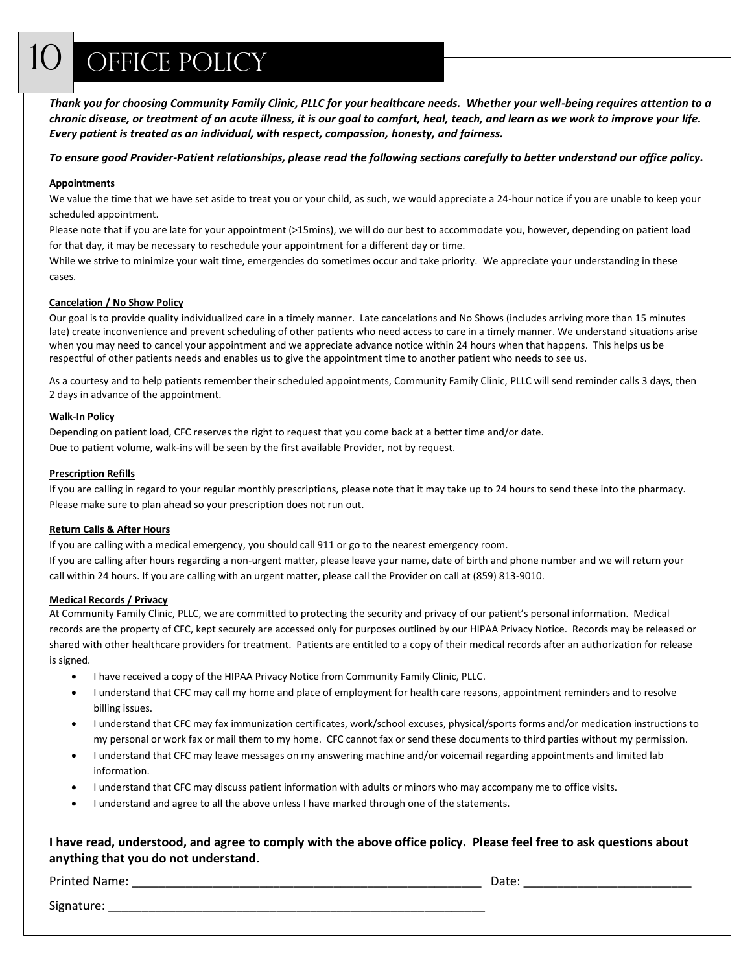## OFFICE POLICY

*Thank you for choosing Community Family Clinic, PLLC for your healthcare needs. Whether your well-being requires attention to a chronic disease, or treatment of an acute illness, it is our goal to comfort, heal, teach, and learn as we work to improve your life. Every patient is treated as an individual, with respect, compassion, honesty, and fairness.*

#### *To ensure good Provider-Patient relationships, please read the following sections carefully to better understand our office policy.*

#### **Appointments**

We value the time that we have set aside to treat you or your child, as such, we would appreciate a 24-hour notice if you are unable to keep your scheduled appointment.

Please note that if you are late for your appointment (>15mins), we will do our best to accommodate you, however, depending on patient load for that day, it may be necessary to reschedule your appointment for a different day or time.

While we strive to minimize your wait time, emergencies do sometimes occur and take priority. We appreciate your understanding in these cases.

#### **Cancelation / No Show Policy**

Our goal is to provide quality individualized care in a timely manner. Late cancelations and No Shows (includes arriving more than 15 minutes late) create inconvenience and prevent scheduling of other patients who need access to care in a timely manner. We understand situations arise when you may need to cancel your appointment and we appreciate advance notice within 24 hours when that happens. This helps us be respectful of other patients needs and enables us to give the appointment time to another patient who needs to see us.

As a courtesy and to help patients remember their scheduled appointments, Community Family Clinic, PLLC will send reminder calls 3 days, then 2 days in advance of the appointment.

#### **Walk-In Policy**

Depending on patient load, CFC reserves the right to request that you come back at a better time and/or date. Due to patient volume, walk-ins will be seen by the first available Provider, not by request.

#### **Prescription Refills**

If you are calling in regard to your regular monthly prescriptions, please note that it may take up to 24 hours to send these into the pharmacy. Please make sure to plan ahead so your prescription does not run out.

#### **Return Calls & After Hours**

If you are calling with a medical emergency, you should call 911 or go to the nearest emergency room. If you are calling after hours regarding a non-urgent matter, please leave your name, date of birth and phone number and we will return your call within 24 hours. If you are calling with an urgent matter, please call the Provider on call at (859) 813-9010.

#### **Medical Records / Privacy**

At Community Family Clinic, PLLC, we are committed to protecting the security and privacy of our patient's personal information. Medical records are the property of CFC, kept securely are accessed only for purposes outlined by our HIPAA Privacy Notice. Records may be released or shared with other healthcare providers for treatment. Patients are entitled to a copy of their medical records after an authorization for release is signed.

- I have received a copy of the HIPAA Privacy Notice from Community Family Clinic, PLLC.
- I understand that CFC may call my home and place of employment for health care reasons, appointment reminders and to resolve billing issues.
- I understand that CFC may fax immunization certificates, work/school excuses, physical/sports forms and/or medication instructions to my personal or work fax or mail them to my home. CFC cannot fax or send these documents to third parties without my permission.
- I understand that CFC may leave messages on my answering machine and/or voicemail regarding appointments and limited lab information.
- I understand that CFC may discuss patient information with adults or minors who may accompany me to office visits.
- I understand and agree to all the above unless I have marked through one of the statements.

### **I have read, understood, and agree to comply with the above office policy. Please feel free to ask questions about anything that you do not understand.**

Printed Name: \_\_\_\_\_\_\_\_\_\_\_\_\_\_\_\_\_\_\_\_\_\_\_\_\_\_\_\_\_\_\_\_\_\_\_\_\_\_\_\_\_\_\_\_\_\_\_\_\_\_\_\_ Date: \_\_\_\_\_\_\_\_\_\_\_\_\_\_\_\_\_\_\_\_\_\_\_\_\_

Signature: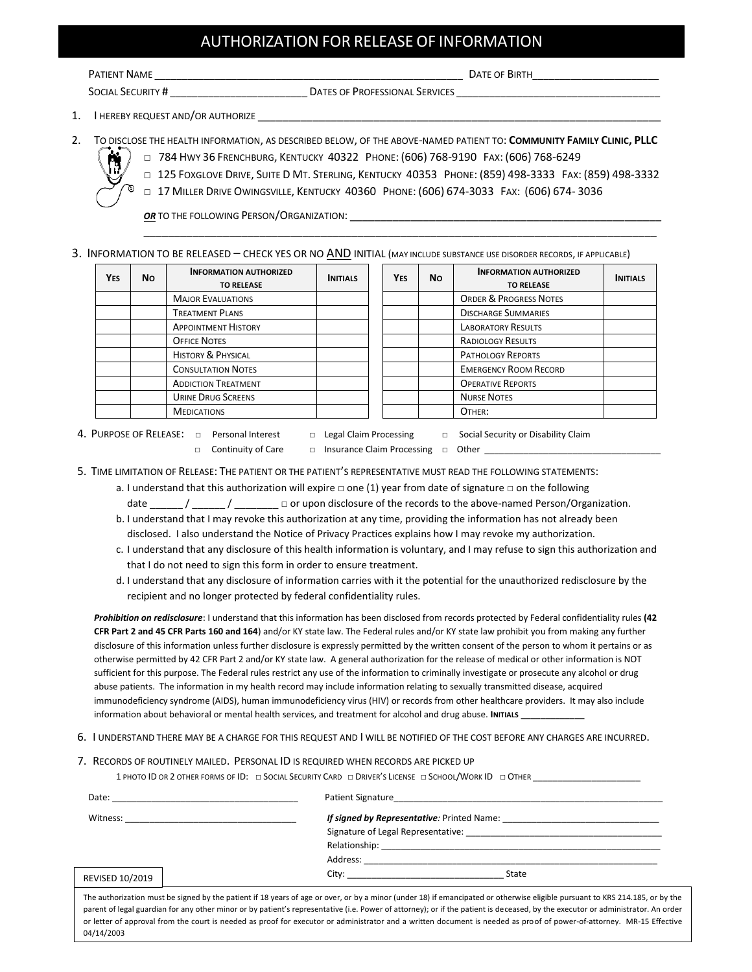### AUTHORIZATION FOR RELEASE OF INFORMATION

**PATIENT NAME DATE OF BIRTH** 

SOCIAL SECURITY # \_\_\_\_\_\_\_\_\_\_\_\_\_\_\_\_\_\_\_\_\_\_\_\_\_ DATES OF PROFESSIONAL SERVICES \_\_\_\_\_\_\_\_\_\_\_\_\_\_\_\_\_\_\_\_\_\_\_\_\_\_\_\_\_\_\_\_\_\_\_\_\_

- 1. I HEREBY REQUEST AND/OR AUTHORIZE
- 2. TO DISCLOSE THE HEALTH INFORMATION, AS DESCRIBED BELOW, OF THE ABOVE-NAMED PATIENT TO: **COMMUNITY FAMILY CLINIC, PLLC** □ . 784 HWY 36 FRENCHBURG, KENTUCKY 40322 PHONE: (606) 768-9190 FAX: (606) 768-6249



□ 125 FOXGLOVE DRIVE, SUITE D MT. STERLING, KENTUCKY 40353 PHONE: (859) 498-3333 FAX: (859) 498-3332

\_\_\_\_\_\_\_\_\_\_\_\_\_\_\_\_\_\_\_\_\_\_\_\_\_\_\_\_\_\_\_\_\_\_\_\_\_\_\_\_\_\_\_\_\_\_\_\_\_\_\_\_\_\_\_\_\_\_\_\_\_\_\_\_\_\_\_\_\_\_\_\_\_\_\_\_\_\_\_\_\_\_\_\_

□ 17 MILLER DRIVE OWINGSVILLE, KENTUCKY 40360 PHONE: (606) 674-3033 FAX: (606) 674- 3036

**OR** TO THE FOLLOWING PERSON/ORGANIZATION:

3. INFORMATION TO BE RELEASED – CHECK YES OR NO AND INITIAL (MAY INCLUDE SUBSTANCE USE DISORDER RECORDS, IF APPLICABLE)

| Yes | No. | <b>INFORMATION AUTHORIZED</b><br><b>TO RELEASE</b> | <b>INITIALS</b> | <b>YES</b> | Νo | <b>INFORMATION AUTHORIZED</b><br><b>TO RELEASE</b> | <b>INITIALS</b> |
|-----|-----|----------------------------------------------------|-----------------|------------|----|----------------------------------------------------|-----------------|
|     |     | <b>MAJOR EVALUATIONS</b>                           |                 |            |    | <b>ORDER &amp; PROGRESS NOTES</b>                  |                 |
|     |     | <b>TREATMENT PLANS</b>                             |                 |            |    | <b>DISCHARGE SUMMARIES</b>                         |                 |
|     |     | <b>APPOINTMENT HISTORY</b>                         |                 |            |    | <b>LABORATORY RESULTS</b>                          |                 |
|     |     | <b>OFFICE NOTES</b>                                |                 |            |    | <b>RADIOLOGY RESULTS</b>                           |                 |
|     |     | <b>HISTORY &amp; PHYSICAL</b>                      |                 |            |    | <b>PATHOLOGY REPORTS</b>                           |                 |
|     |     | <b>CONSULTATION NOTES</b>                          |                 |            |    | <b>EMERGENCY ROOM RECORD</b>                       |                 |
|     |     | <b>ADDICTION TREATMENT</b>                         |                 |            |    | <b>OPERATIVE REPORTS</b>                           |                 |
|     |     | URINE DRUG SCREENS                                 |                 |            |    | <b>NURSE NOTES</b>                                 |                 |
|     |     | <b>MEDICATIONS</b>                                 |                 |            |    | OTHER:                                             |                 |

4. PURPOSE OF RELEASE: □ Personal Interest □ Legal Claim Processing □ Social Security or Disability Claim

- 
- 
- 
- □ Continuity of Care □ Insurance Claim Processing □ Other \_
- 

5. TIME LIMITATION OF RELEASE: THE PATIENT OR THE PATIENT'S REPRESENTATIVE MUST READ THE FOLLOWING STATEMENTS:

- a. I understand that this authorization will expire □ one (1) year from date of signature □ on the following
- date \_\_\_\_\_\_ / \_\_\_\_\_\_ / \_\_\_\_\_\_\_\_ □ or upon disclosure of the records to the above-named Person/Organization.
- b. I understand that I may revoke this authorization at any time, providing the information has not already been disclosed. I also understand the Notice of Privacy Practices explains how I may revoke my authorization.
- c. I understand that any disclosure of this health information is voluntary, and I may refuse to sign this authorization and that I do not need to sign this form in order to ensure treatment.
- d. I understand that any disclosure of information carries with it the potential for the unauthorized redisclosure by the recipient and no longer protected by federal confidentiality rules.

*Prohibition on redisclosure*: I understand that this information has been disclosed from records protected by Federal confidentiality rules **(42 CFR Part 2 and 45 CFR Parts 160 and 164**) and/or KY state law. The Federal rules and/or KY state law prohibit you from making any further disclosure of this information unless further disclosure is expressly permitted by the written consent of the person to whom it pertains or as otherwise permitted by 42 CFR Part 2 and/or KY state law. A general authorization for the release of medical or other information is NOT sufficient for this purpose. The Federal rules restrict any use of the information to criminally investigate or prosecute any alcohol or drug abuse patients. The information in my health record may include information relating to sexually transmitted disease, acquired immunodeficiency syndrome (AIDS), human immunodeficiency virus (HIV) or records from other healthcare providers. It may also include information about behavioral or mental health services, and treatment for alcohol and drug abuse. **INITIALS \_\_\_\_\_\_\_\_\_\_\_\_\_**

6. I UNDERSTAND THERE MAY BE A CHARGE FOR THIS REQUEST AND I WILL BE NOTIFIED OF THE COST BEFORE ANY CHARGES ARE INCURRED.

#### 7. RECORDS OF ROUTINELY MAILED. PERSONAL ID IS REQUIRED WHEN RECORDS ARE PICKED UP

1 PHOTO ID OR 2 OTHER FORMS OF ID: □ SOCIAL SECURITY CARD □ DRIVER'S LICENSE □ SCHOOL/WORK ID □ OTHER

| Date:           | the control of the control of the control of the control of the control of the control of the control of the control of the control of the control of the control of the control of the control of the control of the control           |
|-----------------|-----------------------------------------------------------------------------------------------------------------------------------------------------------------------------------------------------------------------------------------|
|                 | <b>If signed by Representative:</b> Printed Name: <b>All and Strategies Area and Strategies</b>                                                                                                                                         |
|                 | Signature of Legal Representative: Management of Legal Representative:                                                                                                                                                                  |
|                 |                                                                                                                                                                                                                                         |
|                 |                                                                                                                                                                                                                                         |
| REVISED 10/2019 | City: the contract of the contract of the contract of the contract of the contract of the contract of the contract of the contract of the contract of the contract of the contract of the contract of the contract of the cont<br>State |

The authorization must be signed by the patient if 18 years of age or over, or by a minor (under 18) if emancipated or otherwise eligible pursuant to KRS 214.185, or by the parent of legal guardian for any other minor or by patient's representative (i.e. Power of attorney); or if the patient is deceased, by the executor or administrator. An order or letter of approval from the court is needed as proof for executor or administrator and a written document is needed as proof of power-of-attorney. MR-15 Effective 04/14/2003